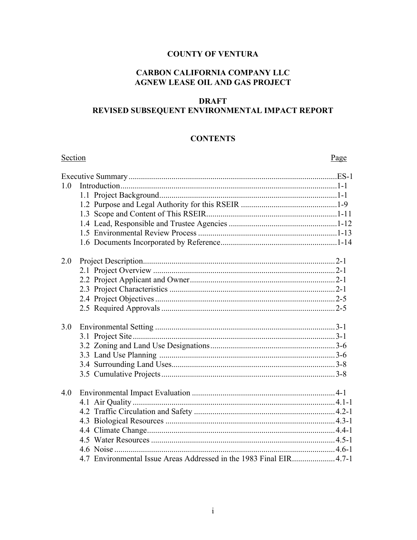## **COUNTY OF VENTURA**

## **CARBON CALIFORNIA COMPANY LLC AGNEW LEASE OIL AND GAS PROJECT**

## **DRAFT** REVISED SUBSEQUENT ENVIRONMENTAL IMPACT REPORT

#### **CONTENTS**

| Section |                                                                    | Page |
|---------|--------------------------------------------------------------------|------|
|         |                                                                    |      |
| 1.0     |                                                                    |      |
|         |                                                                    |      |
|         |                                                                    |      |
|         |                                                                    |      |
|         |                                                                    |      |
|         |                                                                    |      |
|         |                                                                    |      |
| 2.0     |                                                                    |      |
|         |                                                                    |      |
|         |                                                                    |      |
|         |                                                                    |      |
|         |                                                                    |      |
|         |                                                                    |      |
| 3.0     |                                                                    |      |
|         |                                                                    |      |
|         |                                                                    |      |
|         |                                                                    |      |
|         |                                                                    |      |
|         |                                                                    |      |
| 4.0     |                                                                    |      |
|         |                                                                    |      |
|         |                                                                    |      |
|         |                                                                    |      |
|         |                                                                    |      |
|         |                                                                    |      |
|         |                                                                    |      |
|         | 4.7 Environmental Issue Areas Addressed in the 1983 Final EIR4.7-1 |      |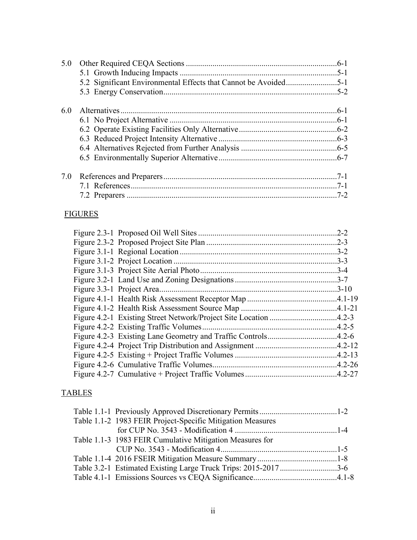| 5.0 |  |
|-----|--|
| 6.0 |  |
| 7.0 |  |

## FIGURES

|  | $.2 - 2$  |
|--|-----------|
|  |           |
|  |           |
|  | $.3 - 3$  |
|  |           |
|  |           |
|  | $.3 - 10$ |
|  |           |
|  |           |
|  |           |
|  |           |
|  |           |
|  |           |
|  |           |
|  |           |
|  |           |
|  |           |

## TABLES

| Table 1.1-2 1983 FEIR Project-Specific Mitigation Measures     |  |
|----------------------------------------------------------------|--|
|                                                                |  |
| Table 1.1-3 1983 FEIR Cumulative Mitigation Measures for       |  |
|                                                                |  |
|                                                                |  |
| Table 3.2-1 Estimated Existing Large Truck Trips: 2015-20173-6 |  |
|                                                                |  |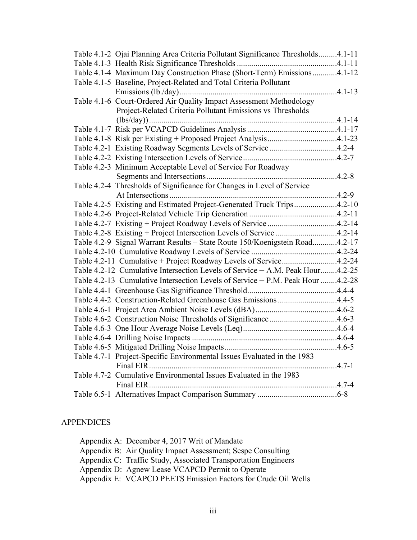|  | Table 4.1-2 Ojai Planning Area Criteria Pollutant Significance Thresholds4.1-11 |  |
|--|---------------------------------------------------------------------------------|--|
|  |                                                                                 |  |
|  | Table 4.1-4 Maximum Day Construction Phase (Short-Term) Emissions 4.1-12        |  |
|  | Table 4.1-5 Baseline, Project-Related and Total Criteria Pollutant              |  |
|  |                                                                                 |  |
|  | Table 4.1-6 Court-Ordered Air Quality Impact Assessment Methodology             |  |
|  | Project-Related Criteria Pollutant Emissions vs Thresholds                      |  |
|  |                                                                                 |  |
|  |                                                                                 |  |
|  |                                                                                 |  |
|  | Table 4.2-1 Existing Roadway Segments Levels of Service 4.2-4                   |  |
|  |                                                                                 |  |
|  | Table 4.2-3 Minimum Acceptable Level of Service For Roadway                     |  |
|  |                                                                                 |  |
|  | Table 4.2-4 Thresholds of Significance for Changes in Level of Service          |  |
|  |                                                                                 |  |
|  | Table 4.2-5 Existing and Estimated Project-Generated Truck Trips4.2-10          |  |
|  |                                                                                 |  |
|  | Table 4.2-7 Existing + Project Roadway Levels of Service 4.2-14                 |  |
|  | Table 4.2-8 Existing + Project Intersection Levels of Service 4.2-14            |  |
|  | Table 4.2-9 Signal Warrant Results - State Route 150/Koenigstein Road4.2-17     |  |
|  |                                                                                 |  |
|  | Table 4.2-11 Cumulative + Project Roadway Levels of Service4.2-24               |  |
|  | Table 4.2-12 Cumulative Intersection Levels of Service – A.M. Peak Hour4.2-25   |  |
|  | Table 4.2-13 Cumulative Intersection Levels of Service - P.M. Peak Hour 4.2-28  |  |
|  |                                                                                 |  |
|  | Table 4.4-2 Construction-Related Greenhouse Gas Emissions 4.4-5                 |  |
|  |                                                                                 |  |
|  | Table 4.6-2 Construction Noise Thresholds of Significance 4.6-3                 |  |
|  |                                                                                 |  |
|  |                                                                                 |  |
|  |                                                                                 |  |
|  | Table 4.7-1 Project-Specific Environmental Issues Evaluated in the 1983         |  |
|  |                                                                                 |  |
|  | Table 4.7-2 Cumulative Environmental Issues Evaluated in the 1983               |  |
|  |                                                                                 |  |
|  |                                                                                 |  |

# **APPENDICES**

|  | Appendix A: December 4, 2017 Writ of Mandate                   |
|--|----------------------------------------------------------------|
|  | Appendix B: Air Quality Impact Assessment; Sespe Consulting    |
|  | Appendix C: Traffic Study, Associated Transportation Engineers |
|  | Appendix D: Agnew Lease VCAPCD Permit to Operate               |
|  | Appendix E: VCAPCD PEETS Emission Factors for Crude Oil Wells  |